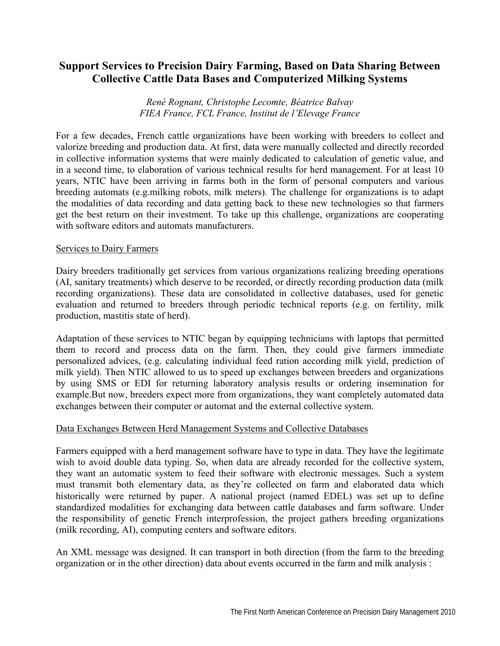# **Support Services to Precision Dairy Farming, Based on Data Sharing Between Collective Cattle Data Bases and Computerized Milking Systems**

*René Rognant, Christophe Lecomte, Béatrice Balvay FIEA France, FCL France, Institut de l'Elevage France*

For a few decades, French cattle organizations have been working with breeders to collect and valorize breeding and production data. At first, data were manually collected and directly recorded in collective information systems that were mainly dedicated to calculation of genetic value, and in a second time, to elaboration of various technical results for herd management. For at least 10 years, NTIC have been arriving in farms both in the form of personal computers and various breeding automats (e.g.milking robots, milk meters). The challenge for organizations is to adapt the modalities of data recording and data getting back to these new technologies so that farmers get the best return on their investment. To take up this challenge, organizations are cooperating with software editors and automats manufacturers.

#### Services to Dairy Farmers

Dairy breeders traditionally get services from various organizations realizing breeding operations (AI, sanitary treatments) which deserve to be recorded, or directly recording production data (milk recording organizations). These data are consolidated in collective databases, used for genetic evaluation and returned to breeders through periodic technical reports (e.g. on fertility, milk production, mastitis state of herd).

Adaptation of these services to NTIC began by equipping technicians with laptops that permitted them to record and process data on the farm. Then, they could give farmers immediate personalized advices, (e.g. calculating individual feed ration according milk yield, prediction of milk yield). Then NTIC allowed to us to speed up exchanges between breeders and organizations by using SMS or EDI for returning laboratory analysis results or ordering insemination for example.But now, breeders expect more from organizations, they want completely automated data exchanges between their computer or automat and the external collective system.

## Data Exchanges Between Herd Management Systems and Collective Databases

Farmers equipped with a herd management software have to type in data. They have the legitimate wish to avoid double data typing. So, when data are already recorded for the collective system, they want an automatic system to feed their software with electronic messages. Such a system must transmit both elementary data, as they're collected on farm and elaborated data which historically were returned by paper. A national project (named EDEL) was set up to define standardized modalities for exchanging data between cattle databases and farm software. Under the responsibility of genetic French interprofession, the project gathers breeding organizations (milk recording, AI), computing centers and software editors.

An XML message was designed. It can transport in both direction (from the farm to the breeding organization or in the other direction) data about events occurred in the farm and milk analysis :